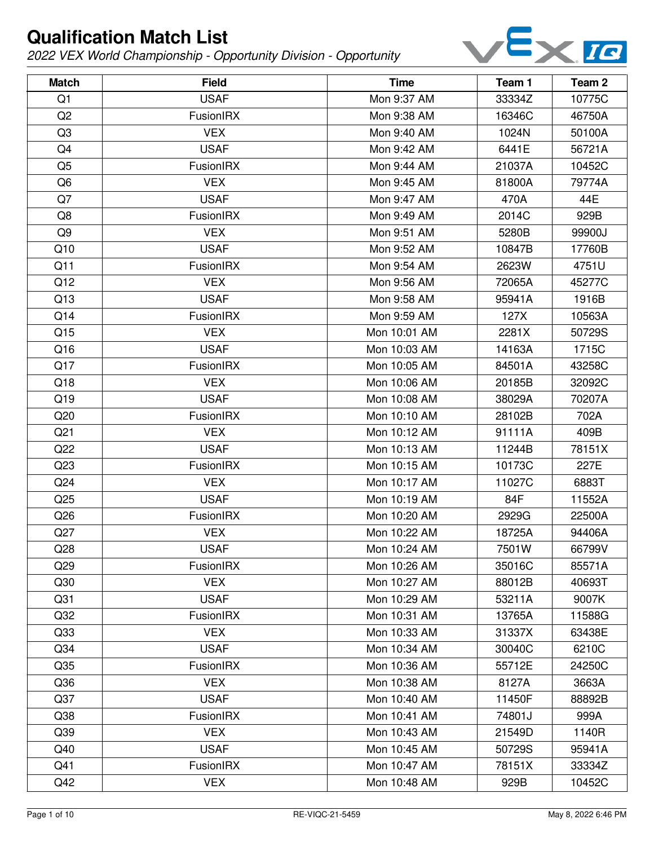

| <b>Match</b>    | <b>Field</b>     | <b>Time</b>  | Team 1 | Team <sub>2</sub> |
|-----------------|------------------|--------------|--------|-------------------|
| Q1              | <b>USAF</b>      | Mon 9:37 AM  | 33334Z | 10775C            |
| Q2              | FusionIRX        | Mon 9:38 AM  | 16346C | 46750A            |
| Q <sub>3</sub>  | <b>VEX</b>       | Mon 9:40 AM  | 1024N  | 50100A            |
| Q4              | <b>USAF</b>      | Mon 9:42 AM  | 6441E  | 56721A            |
| Q <sub>5</sub>  | FusionIRX        | Mon 9:44 AM  | 21037A | 10452C            |
| Q <sub>6</sub>  | <b>VEX</b>       | Mon 9:45 AM  | 81800A | 79774A            |
| Q7              | <b>USAF</b>      | Mon 9:47 AM  | 470A   | 44E               |
| Q8              | FusionIRX        | Mon 9:49 AM  | 2014C  | 929B              |
| Q9              | <b>VEX</b>       | Mon 9:51 AM  | 5280B  | 99900J            |
| Q10             | <b>USAF</b>      | Mon 9:52 AM  | 10847B | 17760B            |
| Q11             | FusionIRX        | Mon 9:54 AM  | 2623W  | 4751U             |
| Q12             | <b>VEX</b>       | Mon 9:56 AM  | 72065A | 45277C            |
| Q13             | <b>USAF</b>      | Mon 9:58 AM  | 95941A | 1916B             |
| Q14             | <b>FusionIRX</b> | Mon 9:59 AM  | 127X   | 10563A            |
| Q15             | <b>VEX</b>       | Mon 10:01 AM | 2281X  | 50729S            |
| Q16             | <b>USAF</b>      | Mon 10:03 AM | 14163A | 1715C             |
| Q17             | FusionIRX        | Mon 10:05 AM | 84501A | 43258C            |
| Q18             | <b>VEX</b>       | Mon 10:06 AM | 20185B | 32092C            |
| Q19             | <b>USAF</b>      | Mon 10:08 AM | 38029A | 70207A            |
| Q20             | FusionIRX        | Mon 10:10 AM | 28102B | 702A              |
| Q <sub>21</sub> | <b>VEX</b>       | Mon 10:12 AM | 91111A | 409B              |
| Q22             | <b>USAF</b>      | Mon 10:13 AM | 11244B | 78151X            |
| Q23             | FusionIRX        | Mon 10:15 AM | 10173C | 227E              |
| Q <sub>24</sub> | <b>VEX</b>       | Mon 10:17 AM | 11027C | 6883T             |
| Q <sub>25</sub> | <b>USAF</b>      | Mon 10:19 AM | 84F    | 11552A            |
| Q <sub>26</sub> | FusionIRX        | Mon 10:20 AM | 2929G  | 22500A            |
| Q27             | <b>VEX</b>       | Mon 10:22 AM | 18725A | 94406A            |
| Q28             | <b>USAF</b>      | Mon 10:24 AM | 7501W  | 66799V            |
| Q <sub>29</sub> | <b>FusionIRX</b> | Mon 10:26 AM | 35016C | 85571A            |
| Q30             | <b>VEX</b>       | Mon 10:27 AM | 88012B | 40693T            |
| Q <sub>31</sub> | <b>USAF</b>      | Mon 10:29 AM | 53211A | 9007K             |
| Q <sub>32</sub> | FusionIRX        | Mon 10:31 AM | 13765A | 11588G            |
| Q <sub>33</sub> | <b>VEX</b>       | Mon 10:33 AM | 31337X | 63438E            |
| Q <sub>34</sub> | <b>USAF</b>      | Mon 10:34 AM | 30040C | 6210C             |
| Q <sub>35</sub> | FusionIRX        | Mon 10:36 AM | 55712E | 24250C            |
| Q36             | <b>VEX</b>       | Mon 10:38 AM | 8127A  | 3663A             |
| Q <sub>37</sub> | <b>USAF</b>      | Mon 10:40 AM | 11450F | 88892B            |
| Q <sub>38</sub> | FusionIRX        | Mon 10:41 AM | 74801J | 999A              |
| Q <sub>39</sub> | <b>VEX</b>       | Mon 10:43 AM | 21549D | 1140R             |
| Q40             | <b>USAF</b>      | Mon 10:45 AM | 50729S | 95941A            |
| Q41             | FusionIRX        | Mon 10:47 AM | 78151X | 33334Z            |
| Q42             | <b>VEX</b>       | Mon 10:48 AM | 929B   | 10452C            |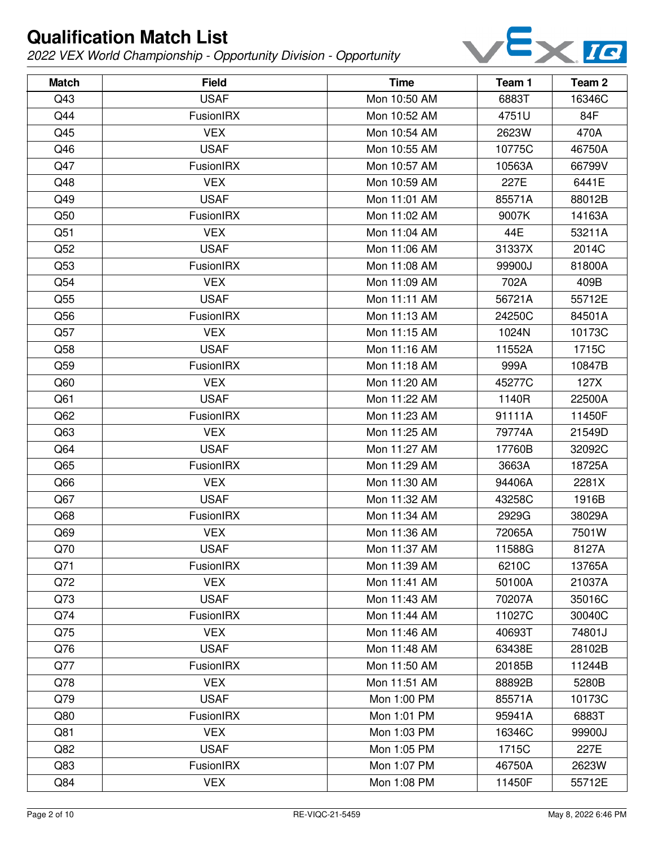

| <b>Match</b> | <b>Field</b> | <b>Time</b>  | Team 1 | Team 2 |
|--------------|--------------|--------------|--------|--------|
| Q43          | <b>USAF</b>  | Mon 10:50 AM | 6883T  | 16346C |
| Q44          | FusionIRX    | Mon 10:52 AM | 4751U  | 84F    |
| Q45          | <b>VEX</b>   | Mon 10:54 AM | 2623W  | 470A   |
| Q46          | <b>USAF</b>  | Mon 10:55 AM | 10775C | 46750A |
| Q47          | FusionIRX    | Mon 10:57 AM | 10563A | 66799V |
| Q48          | <b>VEX</b>   | Mon 10:59 AM | 227E   | 6441E  |
| Q49          | <b>USAF</b>  | Mon 11:01 AM | 85571A | 88012B |
| Q50          | FusionIRX    | Mon 11:02 AM | 9007K  | 14163A |
| Q51          | <b>VEX</b>   | Mon 11:04 AM | 44E    | 53211A |
| Q52          | <b>USAF</b>  | Mon 11:06 AM | 31337X | 2014C  |
| Q53          | FusionIRX    | Mon 11:08 AM | 99900J | 81800A |
| Q54          | <b>VEX</b>   | Mon 11:09 AM | 702A   | 409B   |
| Q55          | <b>USAF</b>  | Mon 11:11 AM | 56721A | 55712E |
| Q56          | FusionIRX    | Mon 11:13 AM | 24250C | 84501A |
| Q57          | <b>VEX</b>   | Mon 11:15 AM | 1024N  | 10173C |
| Q58          | <b>USAF</b>  | Mon 11:16 AM | 11552A | 1715C  |
| Q59          | FusionIRX    | Mon 11:18 AM | 999A   | 10847B |
| Q60          | <b>VEX</b>   | Mon 11:20 AM | 45277C | 127X   |
| Q61          | <b>USAF</b>  | Mon 11:22 AM | 1140R  | 22500A |
| Q62          | FusionIRX    | Mon 11:23 AM | 91111A | 11450F |
| Q63          | <b>VEX</b>   | Mon 11:25 AM | 79774A | 21549D |
| Q64          | <b>USAF</b>  | Mon 11:27 AM | 17760B | 32092C |
| Q65          | FusionIRX    | Mon 11:29 AM | 3663A  | 18725A |
| Q66          | <b>VEX</b>   | Mon 11:30 AM | 94406A | 2281X  |
| Q67          | <b>USAF</b>  | Mon 11:32 AM | 43258C | 1916B  |
| Q68          | FusionIRX    | Mon 11:34 AM | 2929G  | 38029A |
| Q69          | <b>VEX</b>   | Mon 11:36 AM | 72065A | 7501W  |
| Q70          | <b>USAF</b>  | Mon 11:37 AM | 11588G | 8127A  |
| Q71          | FusionIRX    | Mon 11:39 AM | 6210C  | 13765A |
| Q72          | <b>VEX</b>   | Mon 11:41 AM | 50100A | 21037A |
| Q73          | <b>USAF</b>  | Mon 11:43 AM | 70207A | 35016C |
| Q74          | FusionIRX    | Mon 11:44 AM | 11027C | 30040C |
| Q75          | <b>VEX</b>   | Mon 11:46 AM | 40693T | 74801J |
| Q76          | <b>USAF</b>  | Mon 11:48 AM | 63438E | 28102B |
| Q77          | FusionIRX    | Mon 11:50 AM | 20185B | 11244B |
| Q78          | <b>VEX</b>   | Mon 11:51 AM | 88892B | 5280B  |
| Q79          | <b>USAF</b>  | Mon 1:00 PM  | 85571A | 10173C |
| Q80          | FusionIRX    | Mon 1:01 PM  | 95941A | 6883T  |
| Q81          | <b>VEX</b>   | Mon 1:03 PM  | 16346C | 99900J |
| Q82          | <b>USAF</b>  | Mon 1:05 PM  | 1715C  | 227E   |
| Q83          | FusionIRX    | Mon 1:07 PM  | 46750A | 2623W  |
| Q84          | <b>VEX</b>   | Mon 1:08 PM  | 11450F | 55712E |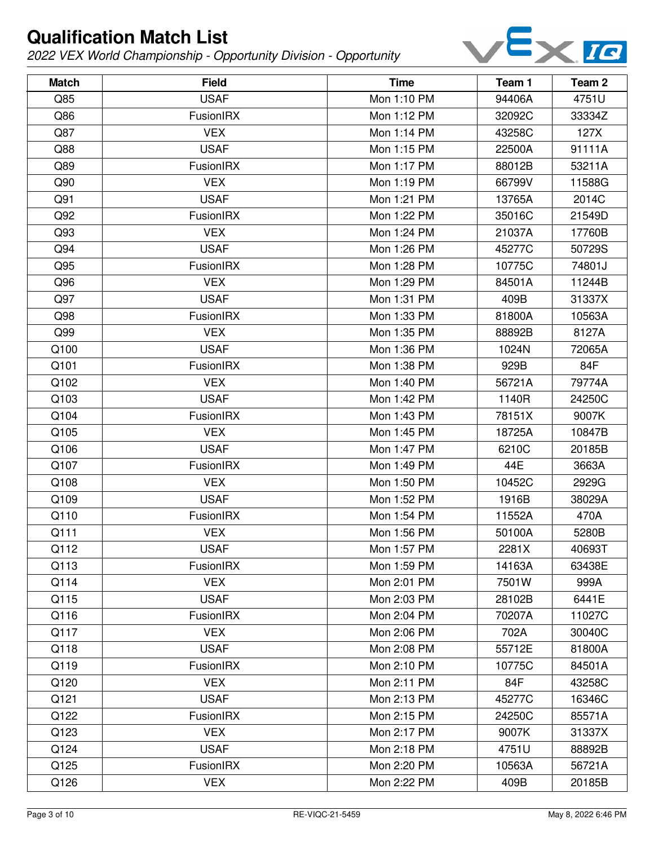

| <b>Match</b> | <b>Field</b>     | <b>Time</b> | Team 1 | Team <sub>2</sub> |
|--------------|------------------|-------------|--------|-------------------|
| Q85          | <b>USAF</b>      | Mon 1:10 PM | 94406A | 4751U             |
| Q86          | FusionIRX        | Mon 1:12 PM | 32092C | 33334Z            |
| Q87          | <b>VEX</b>       | Mon 1:14 PM | 43258C | 127X              |
| Q88          | <b>USAF</b>      | Mon 1:15 PM | 22500A | 91111A            |
| Q89          | FusionIRX        | Mon 1:17 PM | 88012B | 53211A            |
| Q90          | <b>VEX</b>       | Mon 1:19 PM | 66799V | 11588G            |
| Q91          | <b>USAF</b>      | Mon 1:21 PM | 13765A | 2014C             |
| Q92          | FusionIRX        | Mon 1:22 PM | 35016C | 21549D            |
| Q93          | <b>VEX</b>       | Mon 1:24 PM | 21037A | 17760B            |
| Q94          | <b>USAF</b>      | Mon 1:26 PM | 45277C | 50729S            |
| Q95          | FusionIRX        | Mon 1:28 PM | 10775C | 74801J            |
| Q96          | <b>VEX</b>       | Mon 1:29 PM | 84501A | 11244B            |
| Q97          | <b>USAF</b>      | Mon 1:31 PM | 409B   | 31337X            |
| Q98          | FusionIRX        | Mon 1:33 PM | 81800A | 10563A            |
| Q99          | <b>VEX</b>       | Mon 1:35 PM | 88892B | 8127A             |
| Q100         | <b>USAF</b>      | Mon 1:36 PM | 1024N  | 72065A            |
| Q101         | FusionIRX        | Mon 1:38 PM | 929B   | 84F               |
| Q102         | <b>VEX</b>       | Mon 1:40 PM | 56721A | 79774A            |
| Q103         | <b>USAF</b>      | Mon 1:42 PM | 1140R  | 24250C            |
| Q104         | FusionIRX        | Mon 1:43 PM | 78151X | 9007K             |
| Q105         | <b>VEX</b>       | Mon 1:45 PM | 18725A | 10847B            |
| Q106         | <b>USAF</b>      | Mon 1:47 PM | 6210C  | 20185B            |
| Q107         | FusionIRX        | Mon 1:49 PM | 44E    | 3663A             |
| Q108         | <b>VEX</b>       | Mon 1:50 PM | 10452C | 2929G             |
| Q109         | <b>USAF</b>      | Mon 1:52 PM | 1916B  | 38029A            |
| Q110         | FusionIRX        | Mon 1:54 PM | 11552A | 470A              |
| Q111         | <b>VEX</b>       | Mon 1:56 PM | 50100A | 5280B             |
| Q112         | <b>USAF</b>      | Mon 1:57 PM | 2281X  | 40693T            |
| Q113         | FusionIRX        | Mon 1:59 PM | 14163A | 63438E            |
| Q114         | <b>VEX</b>       | Mon 2:01 PM | 7501W  | 999A              |
| Q115         | <b>USAF</b>      | Mon 2:03 PM | 28102B | 6441E             |
| Q116         | <b>FusionIRX</b> | Mon 2:04 PM | 70207A | 11027C            |
| Q117         | <b>VEX</b>       | Mon 2:06 PM | 702A   | 30040C            |
| Q118         | <b>USAF</b>      | Mon 2:08 PM | 55712E | 81800A            |
| Q119         | FusionIRX        | Mon 2:10 PM | 10775C | 84501A            |
| Q120         | <b>VEX</b>       | Mon 2:11 PM | 84F    | 43258C            |
| Q121         | <b>USAF</b>      | Mon 2:13 PM | 45277C | 16346C            |
| Q122         | <b>FusionIRX</b> | Mon 2:15 PM | 24250C | 85571A            |
| Q123         | <b>VEX</b>       | Mon 2:17 PM | 9007K  | 31337X            |
| Q124         | <b>USAF</b>      | Mon 2:18 PM | 4751U  | 88892B            |
| Q125         | <b>FusionIRX</b> | Mon 2:20 PM | 10563A | 56721A            |
| Q126         | <b>VEX</b>       | Mon 2:22 PM | 409B   | 20185B            |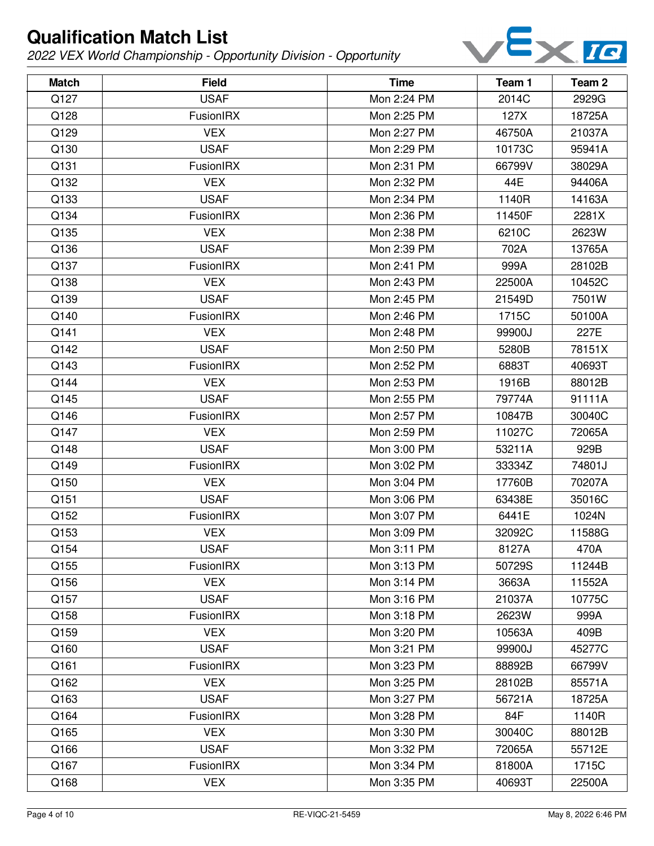

| <b>Match</b> | <b>Field</b>     | <b>Time</b> | Team 1 | Team 2 |
|--------------|------------------|-------------|--------|--------|
| Q127         | <b>USAF</b>      | Mon 2:24 PM | 2014C  | 2929G  |
| Q128         | FusionIRX        | Mon 2:25 PM | 127X   | 18725A |
| Q129         | <b>VEX</b>       | Mon 2:27 PM | 46750A | 21037A |
| Q130         | <b>USAF</b>      | Mon 2:29 PM | 10173C | 95941A |
| Q131         | FusionIRX        | Mon 2:31 PM | 66799V | 38029A |
| Q132         | <b>VEX</b>       | Mon 2:32 PM | 44E    | 94406A |
| Q133         | <b>USAF</b>      | Mon 2:34 PM | 1140R  | 14163A |
| Q134         | FusionIRX        | Mon 2:36 PM | 11450F | 2281X  |
| Q135         | <b>VEX</b>       | Mon 2:38 PM | 6210C  | 2623W  |
| Q136         | <b>USAF</b>      | Mon 2:39 PM | 702A   | 13765A |
| Q137         | FusionIRX        | Mon 2:41 PM | 999A   | 28102B |
| Q138         | <b>VEX</b>       | Mon 2:43 PM | 22500A | 10452C |
| Q139         | <b>USAF</b>      | Mon 2:45 PM | 21549D | 7501W  |
| Q140         | FusionIRX        | Mon 2:46 PM | 1715C  | 50100A |
| Q141         | <b>VEX</b>       | Mon 2:48 PM | 99900J | 227E   |
| Q142         | <b>USAF</b>      | Mon 2:50 PM | 5280B  | 78151X |
| Q143         | FusionIRX        | Mon 2:52 PM | 6883T  | 40693T |
| Q144         | <b>VEX</b>       | Mon 2:53 PM | 1916B  | 88012B |
| Q145         | <b>USAF</b>      | Mon 2:55 PM | 79774A | 91111A |
| Q146         | FusionIRX        | Mon 2:57 PM | 10847B | 30040C |
| Q147         | <b>VEX</b>       | Mon 2:59 PM | 11027C | 72065A |
| Q148         | <b>USAF</b>      | Mon 3:00 PM | 53211A | 929B   |
| Q149         | FusionIRX        | Mon 3:02 PM | 33334Z | 74801J |
| Q150         | <b>VEX</b>       | Mon 3:04 PM | 17760B | 70207A |
| Q151         | <b>USAF</b>      | Mon 3:06 PM | 63438E | 35016C |
| Q152         | FusionIRX        | Mon 3:07 PM | 6441E  | 1024N  |
| Q153         | <b>VEX</b>       | Mon 3:09 PM | 32092C | 11588G |
| Q154         | <b>USAF</b>      | Mon 3:11 PM | 8127A  | 470A   |
| Q155         | <b>FusionIRX</b> | Mon 3:13 PM | 50729S | 11244B |
| Q156         | <b>VEX</b>       | Mon 3:14 PM | 3663A  | 11552A |
| Q157         | <b>USAF</b>      | Mon 3:16 PM | 21037A | 10775C |
| Q158         | <b>FusionIRX</b> | Mon 3:18 PM | 2623W  | 999A   |
| Q159         | <b>VEX</b>       | Mon 3:20 PM | 10563A | 409B   |
| Q160         | <b>USAF</b>      | Mon 3:21 PM | 99900J | 45277C |
| Q161         | FusionIRX        | Mon 3:23 PM | 88892B | 66799V |
| Q162         | <b>VEX</b>       | Mon 3:25 PM | 28102B | 85571A |
| Q163         | <b>USAF</b>      | Mon 3:27 PM | 56721A | 18725A |
| Q164         | FusionIRX        | Mon 3:28 PM | 84F    | 1140R  |
| Q165         | <b>VEX</b>       | Mon 3:30 PM | 30040C | 88012B |
| Q166         | <b>USAF</b>      | Mon 3:32 PM | 72065A | 55712E |
| Q167         | FusionIRX        | Mon 3:34 PM | 81800A | 1715C  |
| Q168         | <b>VEX</b>       | Mon 3:35 PM | 40693T | 22500A |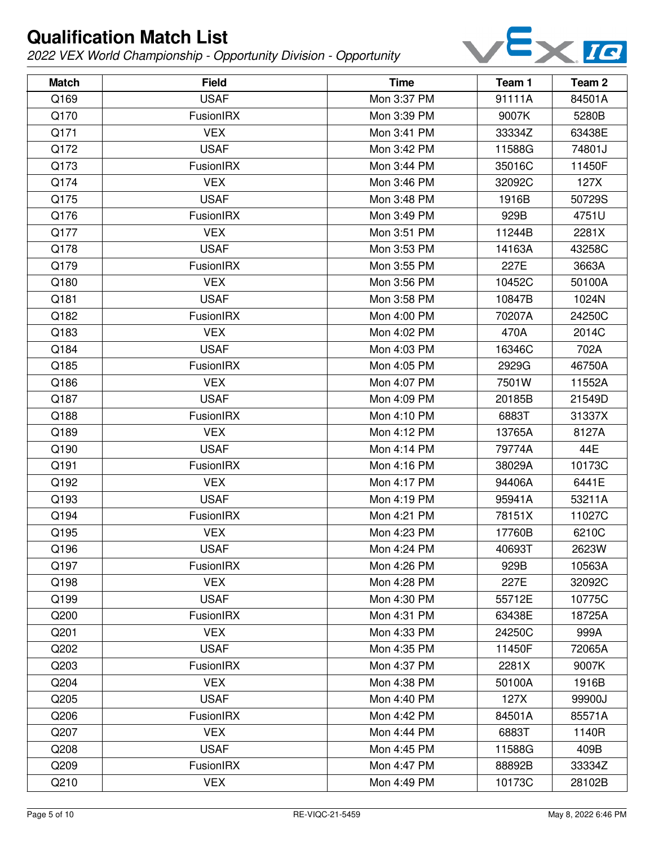

| <b>Match</b> | <b>Field</b>     | <b>Time</b> | Team 1 | Team 2 |
|--------------|------------------|-------------|--------|--------|
| Q169         | <b>USAF</b>      | Mon 3:37 PM | 91111A | 84501A |
| Q170         | FusionIRX        | Mon 3:39 PM | 9007K  | 5280B  |
| Q171         | <b>VEX</b>       | Mon 3:41 PM | 33334Z | 63438E |
| Q172         | <b>USAF</b>      | Mon 3:42 PM | 11588G | 74801J |
| Q173         | FusionIRX        | Mon 3:44 PM | 35016C | 11450F |
| Q174         | <b>VEX</b>       | Mon 3:46 PM | 32092C | 127X   |
| Q175         | <b>USAF</b>      | Mon 3:48 PM | 1916B  | 50729S |
| Q176         | FusionIRX        | Mon 3:49 PM | 929B   | 4751U  |
| Q177         | <b>VEX</b>       | Mon 3:51 PM | 11244B | 2281X  |
| Q178         | <b>USAF</b>      | Mon 3:53 PM | 14163A | 43258C |
| Q179         | FusionIRX        | Mon 3:55 PM | 227E   | 3663A  |
| Q180         | <b>VEX</b>       | Mon 3:56 PM | 10452C | 50100A |
| Q181         | <b>USAF</b>      | Mon 3:58 PM | 10847B | 1024N  |
| Q182         | FusionIRX        | Mon 4:00 PM | 70207A | 24250C |
| Q183         | <b>VEX</b>       | Mon 4:02 PM | 470A   | 2014C  |
| Q184         | <b>USAF</b>      | Mon 4:03 PM | 16346C | 702A   |
| Q185         | FusionIRX        | Mon 4:05 PM | 2929G  | 46750A |
| Q186         | <b>VEX</b>       | Mon 4:07 PM | 7501W  | 11552A |
| Q187         | <b>USAF</b>      | Mon 4:09 PM | 20185B | 21549D |
| Q188         | FusionIRX        | Mon 4:10 PM | 6883T  | 31337X |
| Q189         | <b>VEX</b>       | Mon 4:12 PM | 13765A | 8127A  |
| Q190         | <b>USAF</b>      | Mon 4:14 PM | 79774A | 44E    |
| Q191         | FusionIRX        | Mon 4:16 PM | 38029A | 10173C |
| Q192         | <b>VEX</b>       | Mon 4:17 PM | 94406A | 6441E  |
| Q193         | <b>USAF</b>      | Mon 4:19 PM | 95941A | 53211A |
| Q194         | FusionIRX        | Mon 4:21 PM | 78151X | 11027C |
| Q195         | <b>VEX</b>       | Mon 4:23 PM | 17760B | 6210C  |
| Q196         | <b>USAF</b>      | Mon 4:24 PM | 40693T | 2623W  |
| Q197         | <b>FusionIRX</b> | Mon 4:26 PM | 929B   | 10563A |
| Q198         | <b>VEX</b>       | Mon 4:28 PM | 227E   | 32092C |
| Q199         | <b>USAF</b>      | Mon 4:30 PM | 55712E | 10775C |
| Q200         | FusionIRX        | Mon 4:31 PM | 63438E | 18725A |
| Q201         | <b>VEX</b>       | Mon 4:33 PM | 24250C | 999A   |
| Q202         | <b>USAF</b>      | Mon 4:35 PM | 11450F | 72065A |
| Q203         | FusionIRX        | Mon 4:37 PM | 2281X  | 9007K  |
| Q204         | <b>VEX</b>       | Mon 4:38 PM | 50100A | 1916B  |
| Q205         | <b>USAF</b>      | Mon 4:40 PM | 127X   | 99900J |
| Q206         | FusionIRX        | Mon 4:42 PM | 84501A | 85571A |
| Q207         | <b>VEX</b>       | Mon 4:44 PM | 6883T  | 1140R  |
| Q208         | <b>USAF</b>      | Mon 4:45 PM | 11588G | 409B   |
| Q209         | FusionIRX        | Mon 4:47 PM | 88892B | 33334Z |
| Q210         | <b>VEX</b>       | Mon 4:49 PM | 10173C | 28102B |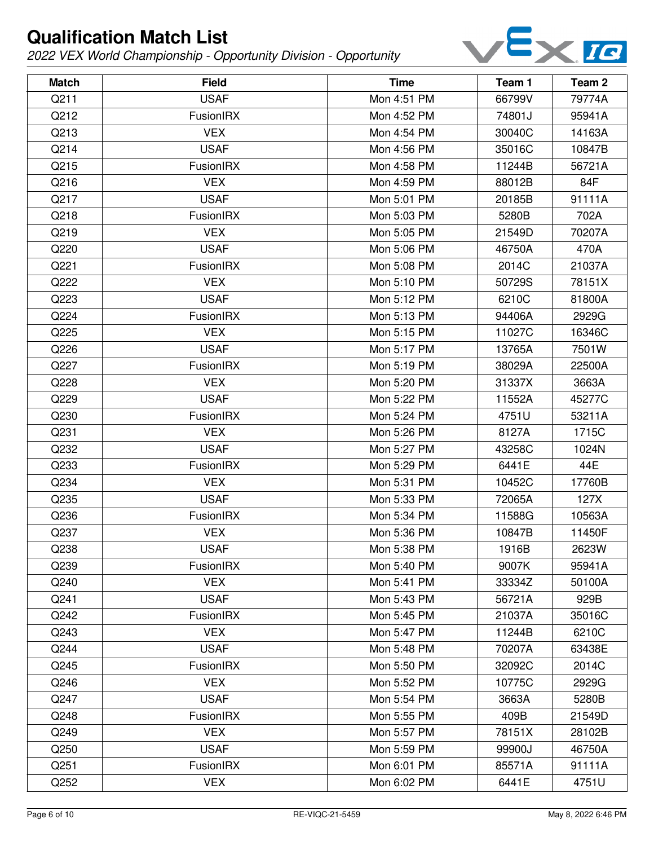

| <b>Match</b> | <b>Field</b>     | <b>Time</b> | Team 1 | Team <sub>2</sub> |
|--------------|------------------|-------------|--------|-------------------|
| Q211         | <b>USAF</b>      | Mon 4:51 PM | 66799V | 79774A            |
| Q212         | FusionIRX        | Mon 4:52 PM | 74801J | 95941A            |
| Q213         | <b>VEX</b>       | Mon 4:54 PM | 30040C | 14163A            |
| Q214         | <b>USAF</b>      | Mon 4:56 PM | 35016C | 10847B            |
| Q215         | FusionIRX        | Mon 4:58 PM | 11244B | 56721A            |
| Q216         | <b>VEX</b>       | Mon 4:59 PM | 88012B | 84F               |
| Q217         | <b>USAF</b>      | Mon 5:01 PM | 20185B | 91111A            |
| Q218         | FusionIRX        | Mon 5:03 PM | 5280B  | 702A              |
| Q219         | <b>VEX</b>       | Mon 5:05 PM | 21549D | 70207A            |
| Q220         | <b>USAF</b>      | Mon 5:06 PM | 46750A | 470A              |
| Q221         | FusionIRX        | Mon 5:08 PM | 2014C  | 21037A            |
| Q222         | <b>VEX</b>       | Mon 5:10 PM | 50729S | 78151X            |
| Q223         | <b>USAF</b>      | Mon 5:12 PM | 6210C  | 81800A            |
| Q224         | FusionIRX        | Mon 5:13 PM | 94406A | 2929G             |
| Q225         | <b>VEX</b>       | Mon 5:15 PM | 11027C | 16346C            |
| Q226         | <b>USAF</b>      | Mon 5:17 PM | 13765A | 7501W             |
| Q227         | FusionIRX        | Mon 5:19 PM | 38029A | 22500A            |
| Q228         | <b>VEX</b>       | Mon 5:20 PM | 31337X | 3663A             |
| Q229         | <b>USAF</b>      | Mon 5:22 PM | 11552A | 45277C            |
| Q230         | FusionIRX        | Mon 5:24 PM | 4751U  | 53211A            |
| Q231         | <b>VEX</b>       | Mon 5:26 PM | 8127A  | 1715C             |
| Q232         | <b>USAF</b>      | Mon 5:27 PM | 43258C | 1024N             |
| Q233         | FusionIRX        | Mon 5:29 PM | 6441E  | 44E               |
| Q234         | <b>VEX</b>       | Mon 5:31 PM | 10452C | 17760B            |
| Q235         | <b>USAF</b>      | Mon 5:33 PM | 72065A | 127X              |
| Q236         | FusionIRX        | Mon 5:34 PM | 11588G | 10563A            |
| Q237         | <b>VEX</b>       | Mon 5:36 PM | 10847B | 11450F            |
| Q238         | <b>USAF</b>      | Mon 5:38 PM | 1916B  | 2623W             |
| Q239         | <b>FusionIRX</b> | Mon 5:40 PM | 9007K  | 95941A            |
| Q240         | <b>VEX</b>       | Mon 5:41 PM | 33334Z | 50100A            |
| Q241         | <b>USAF</b>      | Mon 5:43 PM | 56721A | 929B              |
| Q242         | FusionIRX        | Mon 5:45 PM | 21037A | 35016C            |
| Q243         | <b>VEX</b>       | Mon 5:47 PM | 11244B | 6210C             |
| Q244         | <b>USAF</b>      | Mon 5:48 PM | 70207A | 63438E            |
| Q245         | FusionIRX        | Mon 5:50 PM | 32092C | 2014C             |
| Q246         | <b>VEX</b>       | Mon 5:52 PM | 10775C | 2929G             |
| Q247         | <b>USAF</b>      | Mon 5:54 PM | 3663A  | 5280B             |
| Q248         | <b>FusionIRX</b> | Mon 5:55 PM | 409B   | 21549D            |
| Q249         | <b>VEX</b>       | Mon 5:57 PM | 78151X | 28102B            |
| Q250         | <b>USAF</b>      | Mon 5:59 PM | 99900J | 46750A            |
| Q251         | <b>FusionIRX</b> | Mon 6:01 PM | 85571A | 91111A            |
| Q252         | <b>VEX</b>       | Mon 6:02 PM | 6441E  | 4751U             |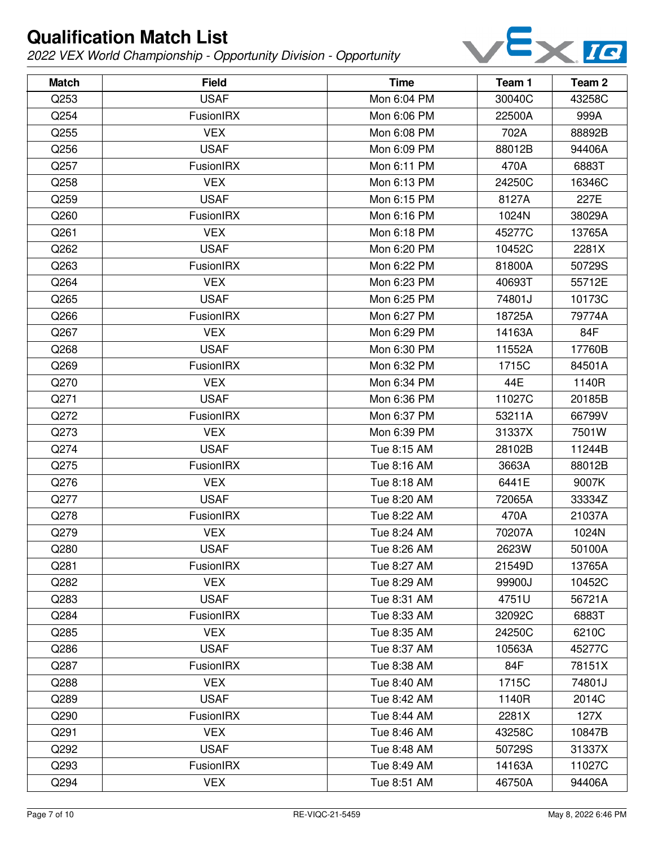

| <b>Match</b> | <b>Field</b>     | <b>Time</b> | Team 1 | Team <sub>2</sub> |
|--------------|------------------|-------------|--------|-------------------|
| Q253         | <b>USAF</b>      | Mon 6:04 PM | 30040C | 43258C            |
| Q254         | FusionIRX        | Mon 6:06 PM | 22500A | 999A              |
| Q255         | <b>VEX</b>       | Mon 6:08 PM | 702A   | 88892B            |
| Q256         | <b>USAF</b>      | Mon 6:09 PM | 88012B | 94406A            |
| Q257         | FusionIRX        | Mon 6:11 PM | 470A   | 6883T             |
| Q258         | <b>VEX</b>       | Mon 6:13 PM | 24250C | 16346C            |
| Q259         | <b>USAF</b>      | Mon 6:15 PM | 8127A  | 227E              |
| Q260         | FusionIRX        | Mon 6:16 PM | 1024N  | 38029A            |
| Q261         | <b>VEX</b>       | Mon 6:18 PM | 45277C | 13765A            |
| Q262         | <b>USAF</b>      | Mon 6:20 PM | 10452C | 2281X             |
| Q263         | FusionIRX        | Mon 6:22 PM | 81800A | 50729S            |
| Q264         | <b>VEX</b>       | Mon 6:23 PM | 40693T | 55712E            |
| Q265         | <b>USAF</b>      | Mon 6:25 PM | 74801J | 10173C            |
| Q266         | FusionIRX        | Mon 6:27 PM | 18725A | 79774A            |
| Q267         | <b>VEX</b>       | Mon 6:29 PM | 14163A | 84F               |
| Q268         | <b>USAF</b>      | Mon 6:30 PM | 11552A | 17760B            |
| Q269         | FusionIRX        | Mon 6:32 PM | 1715C  | 84501A            |
| Q270         | <b>VEX</b>       | Mon 6:34 PM | 44E    | 1140R             |
| Q271         | <b>USAF</b>      | Mon 6:36 PM | 11027C | 20185B            |
| Q272         | FusionIRX        | Mon 6:37 PM | 53211A | 66799V            |
| Q273         | <b>VEX</b>       | Mon 6:39 PM | 31337X | 7501W             |
| Q274         | <b>USAF</b>      | Tue 8:15 AM | 28102B | 11244B            |
| Q275         | FusionIRX        | Tue 8:16 AM | 3663A  | 88012B            |
| Q276         | <b>VEX</b>       | Tue 8:18 AM | 6441E  | 9007K             |
| Q277         | <b>USAF</b>      | Tue 8:20 AM | 72065A | 33334Z            |
| Q278         | FusionIRX        | Tue 8:22 AM | 470A   | 21037A            |
| Q279         | <b>VEX</b>       | Tue 8:24 AM | 70207A | 1024N             |
| Q280         | <b>USAF</b>      | Tue 8:26 AM | 2623W  | 50100A            |
| Q281         | <b>FusionIRX</b> | Tue 8:27 AM | 21549D | 13765A            |
| Q282         | <b>VEX</b>       | Tue 8:29 AM | 99900J | 10452C            |
| Q283         | <b>USAF</b>      | Tue 8:31 AM | 4751U  | 56721A            |
| Q284         | <b>FusionIRX</b> | Tue 8:33 AM | 32092C | 6883T             |
| Q285         | <b>VEX</b>       | Tue 8:35 AM | 24250C | 6210C             |
| Q286         | <b>USAF</b>      | Tue 8:37 AM | 10563A | 45277C            |
| Q287         | <b>FusionIRX</b> | Tue 8:38 AM | 84F    | 78151X            |
| Q288         | <b>VEX</b>       | Tue 8:40 AM | 1715C  | 74801J            |
| Q289         | <b>USAF</b>      | Tue 8:42 AM | 1140R  | 2014C             |
| Q290         | <b>FusionIRX</b> | Tue 8:44 AM | 2281X  | 127X              |
| Q291         | <b>VEX</b>       | Tue 8:46 AM | 43258C | 10847B            |
| Q292         | <b>USAF</b>      | Tue 8:48 AM | 50729S | 31337X            |
| Q293         | FusionIRX        | Tue 8:49 AM | 14163A | 11027C            |
| Q294         | <b>VEX</b>       | Tue 8:51 AM | 46750A | 94406A            |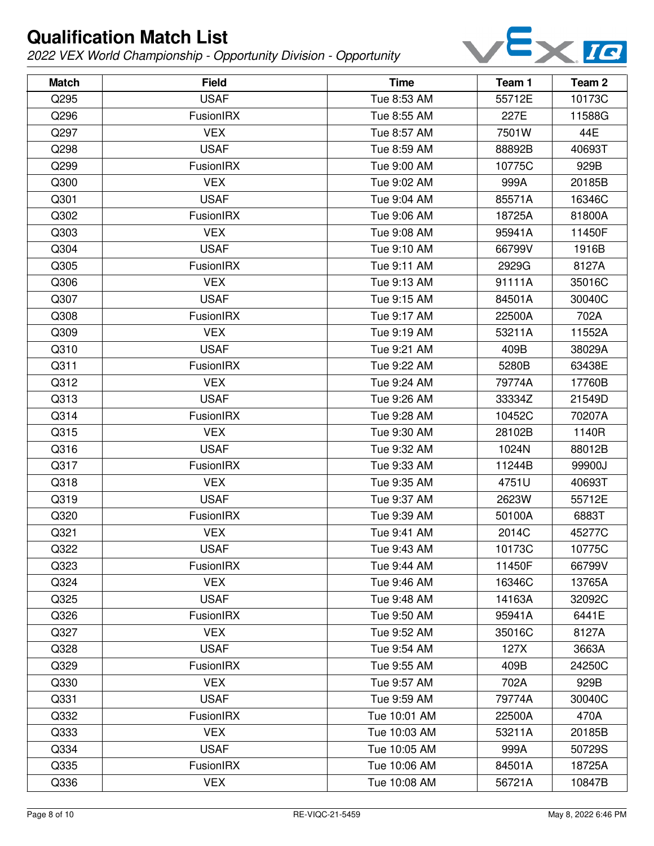

| <b>Match</b> | <b>Field</b>     | <b>Time</b>  | Team 1 | Team <sub>2</sub> |
|--------------|------------------|--------------|--------|-------------------|
| Q295         | <b>USAF</b>      | Tue 8:53 AM  | 55712E | 10173C            |
| Q296         | FusionIRX        | Tue 8:55 AM  | 227E   | 11588G            |
| Q297         | <b>VEX</b>       | Tue 8:57 AM  | 7501W  | 44E               |
| Q298         | <b>USAF</b>      | Tue 8:59 AM  | 88892B | 40693T            |
| Q299         | FusionIRX        | Tue 9:00 AM  | 10775C | 929B              |
| Q300         | <b>VEX</b>       | Tue 9:02 AM  | 999A   | 20185B            |
| Q301         | <b>USAF</b>      | Tue 9:04 AM  | 85571A | 16346C            |
| Q302         | FusionIRX        | Tue 9:06 AM  | 18725A | 81800A            |
| Q303         | <b>VEX</b>       | Tue 9:08 AM  | 95941A | 11450F            |
| Q304         | <b>USAF</b>      | Tue 9:10 AM  | 66799V | 1916B             |
| Q305         | FusionIRX        | Tue 9:11 AM  | 2929G  | 8127A             |
| Q306         | <b>VEX</b>       | Tue 9:13 AM  | 91111A | 35016C            |
| Q307         | <b>USAF</b>      | Tue 9:15 AM  | 84501A | 30040C            |
| Q308         | <b>FusionIRX</b> | Tue 9:17 AM  | 22500A | 702A              |
| Q309         | <b>VEX</b>       | Tue 9:19 AM  | 53211A | 11552A            |
| Q310         | <b>USAF</b>      | Tue 9:21 AM  | 409B   | 38029A            |
| Q311         | FusionIRX        | Tue 9:22 AM  | 5280B  | 63438E            |
| Q312         | <b>VEX</b>       | Tue 9:24 AM  | 79774A | 17760B            |
| Q313         | <b>USAF</b>      | Tue 9:26 AM  | 33334Z | 21549D            |
| Q314         | FusionIRX        | Tue 9:28 AM  | 10452C | 70207A            |
| Q315         | <b>VEX</b>       | Tue 9:30 AM  | 28102B | 1140R             |
| Q316         | <b>USAF</b>      | Tue 9:32 AM  | 1024N  | 88012B            |
| Q317         | FusionIRX        | Tue 9:33 AM  | 11244B | 99900J            |
| Q318         | <b>VEX</b>       | Tue 9:35 AM  | 4751U  | 40693T            |
| Q319         | <b>USAF</b>      | Tue 9:37 AM  | 2623W  | 55712E            |
| Q320         | FusionIRX        | Tue 9:39 AM  | 50100A | 6883T             |
| Q321         | <b>VEX</b>       | Tue 9:41 AM  | 2014C  | 45277C            |
| Q322         | <b>USAF</b>      | Tue 9:43 AM  | 10173C | 10775C            |
| Q323         | <b>FusionIRX</b> | Tue 9:44 AM  | 11450F | 66799V            |
| Q324         | <b>VEX</b>       | Tue 9:46 AM  | 16346C | 13765A            |
| Q325         | <b>USAF</b>      | Tue 9:48 AM  | 14163A | 32092C            |
| Q326         | FusionIRX        | Tue 9:50 AM  | 95941A | 6441E             |
| Q327         | <b>VEX</b>       | Tue 9:52 AM  | 35016C | 8127A             |
| Q328         | <b>USAF</b>      | Tue 9:54 AM  | 127X   | 3663A             |
| Q329         | FusionIRX        | Tue 9:55 AM  | 409B   | 24250C            |
| Q330         | <b>VEX</b>       | Tue 9:57 AM  | 702A   | 929B              |
| Q331         | <b>USAF</b>      | Tue 9:59 AM  | 79774A | 30040C            |
| Q332         | FusionIRX        | Tue 10:01 AM | 22500A | 470A              |
| Q333         | <b>VEX</b>       | Tue 10:03 AM | 53211A | 20185B            |
| Q334         | <b>USAF</b>      | Tue 10:05 AM | 999A   | 50729S            |
| Q335         | FusionIRX        | Tue 10:06 AM | 84501A | 18725A            |
| Q336         | <b>VEX</b>       | Tue 10:08 AM | 56721A | 10847B            |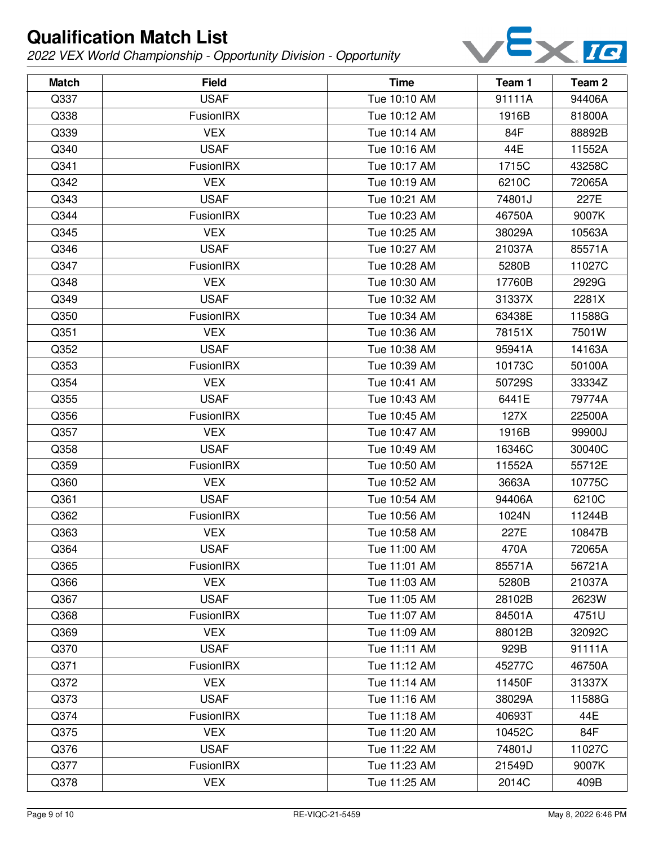

| <b>Match</b> | <b>Field</b>     | <b>Time</b>  | Team 1 | Team 2 |
|--------------|------------------|--------------|--------|--------|
| Q337         | <b>USAF</b>      | Tue 10:10 AM | 91111A | 94406A |
| Q338         | FusionIRX        | Tue 10:12 AM | 1916B  | 81800A |
| Q339         | <b>VEX</b>       | Tue 10:14 AM | 84F    | 88892B |
| Q340         | <b>USAF</b>      | Tue 10:16 AM | 44E    | 11552A |
| Q341         | FusionIRX        | Tue 10:17 AM | 1715C  | 43258C |
| Q342         | <b>VEX</b>       | Tue 10:19 AM | 6210C  | 72065A |
| Q343         | <b>USAF</b>      | Tue 10:21 AM | 74801J | 227E   |
| Q344         | FusionIRX        | Tue 10:23 AM | 46750A | 9007K  |
| Q345         | <b>VEX</b>       | Tue 10:25 AM | 38029A | 10563A |
| Q346         | <b>USAF</b>      | Tue 10:27 AM | 21037A | 85571A |
| Q347         | FusionIRX        | Tue 10:28 AM | 5280B  | 11027C |
| Q348         | <b>VEX</b>       | Tue 10:30 AM | 17760B | 2929G  |
| Q349         | <b>USAF</b>      | Tue 10:32 AM | 31337X | 2281X  |
| Q350         | FusionIRX        | Tue 10:34 AM | 63438E | 11588G |
| Q351         | <b>VEX</b>       | Tue 10:36 AM | 78151X | 7501W  |
| Q352         | <b>USAF</b>      | Tue 10:38 AM | 95941A | 14163A |
| Q353         | FusionIRX        | Tue 10:39 AM | 10173C | 50100A |
| Q354         | <b>VEX</b>       | Tue 10:41 AM | 50729S | 33334Z |
| Q355         | <b>USAF</b>      | Tue 10:43 AM | 6441E  | 79774A |
| Q356         | FusionIRX        | Tue 10:45 AM | 127X   | 22500A |
| Q357         | <b>VEX</b>       | Tue 10:47 AM | 1916B  | 99900J |
| Q358         | <b>USAF</b>      | Tue 10:49 AM | 16346C | 30040C |
| Q359         | FusionIRX        | Tue 10:50 AM | 11552A | 55712E |
| Q360         | <b>VEX</b>       | Tue 10:52 AM | 3663A  | 10775C |
| Q361         | <b>USAF</b>      | Tue 10:54 AM | 94406A | 6210C  |
| Q362         | FusionIRX        | Tue 10:56 AM | 1024N  | 11244B |
| Q363         | <b>VEX</b>       | Tue 10:58 AM | 227E   | 10847B |
| Q364         | <b>USAF</b>      | Tue 11:00 AM | 470A   | 72065A |
| Q365         | <b>FusionIRX</b> | Tue 11:01 AM | 85571A | 56721A |
| Q366         | <b>VEX</b>       | Tue 11:03 AM | 5280B  | 21037A |
| Q367         | <b>USAF</b>      | Tue 11:05 AM | 28102B | 2623W  |
| Q368         | FusionIRX        | Tue 11:07 AM | 84501A | 4751U  |
| Q369         | <b>VEX</b>       | Tue 11:09 AM | 88012B | 32092C |
| Q370         | <b>USAF</b>      | Tue 11:11 AM | 929B   | 91111A |
| Q371         | FusionIRX        | Tue 11:12 AM | 45277C | 46750A |
| Q372         | <b>VEX</b>       | Tue 11:14 AM | 11450F | 31337X |
| Q373         | <b>USAF</b>      | Tue 11:16 AM | 38029A | 11588G |
| Q374         | FusionIRX        | Tue 11:18 AM | 40693T | 44E    |
| Q375         | <b>VEX</b>       | Tue 11:20 AM | 10452C | 84F    |
| Q376         | <b>USAF</b>      | Tue 11:22 AM | 74801J | 11027C |
| Q377         | FusionIRX        | Tue 11:23 AM | 21549D | 9007K  |
| Q378         | <b>VEX</b>       | Tue 11:25 AM | 2014C  | 409B   |